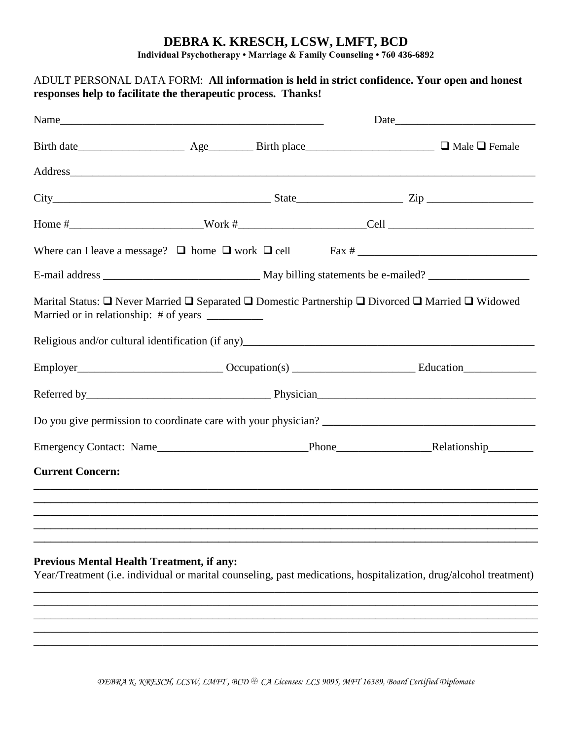## **DEBRA K. KRESCH, LCSW, LMFT, BCD**

**Individual Psychotherapy • Marriage & Family Counseling • 760 436-6892**

# ADULT PERSONAL DATA FORM: **All information is held in strict confidence. Your open and honest responses help to facilitate the therapeutic process. Thanks!** Name\_\_\_\_\_\_\_\_\_\_\_\_\_\_\_\_\_\_\_\_\_\_\_\_\_\_\_\_\_\_\_\_\_\_\_\_\_\_\_\_\_\_\_\_\_\_\_ Date\_\_\_\_\_\_\_\_\_\_\_\_\_\_\_\_\_\_\_\_\_\_\_\_\_ Birth date Age Birth place and  $\Box$  Male  $\Box$  Female Address  $City$   $City$   $Zip$   $Line$ Home #\_\_\_\_\_\_\_\_\_\_\_\_\_\_\_\_\_\_\_\_\_\_\_\_Work #\_\_\_\_\_\_\_\_\_\_\_\_\_\_\_\_\_\_\_\_\_\_\_Cell \_\_\_\_\_\_\_\_\_\_\_\_\_\_\_\_\_\_\_\_\_\_\_\_\_\_ Where can I leave a message? home work cell Fax # \_\_\_\_\_\_\_\_\_\_\_\_\_\_\_\_\_\_\_\_\_\_\_\_\_\_\_\_\_\_\_\_ E-mail address May billing statements be e-mailed? Marital Status:  $\Box$  Never Married  $\Box$  Separated  $\Box$  Domestic Partnership  $\Box$  Divorced  $\Box$  Married  $\Box$  Widowed Married or in relationship: # of years \_\_\_\_\_\_\_\_\_\_ Religious and/or cultural identification (if any)\_\_\_\_\_\_\_\_\_\_\_\_\_\_\_\_\_\_\_\_\_\_\_\_\_\_\_\_\_\_\_ Employer\_\_\_\_\_\_\_\_\_\_\_\_\_\_\_\_\_\_\_\_\_\_\_\_\_\_ Occupation(s) \_\_\_\_\_\_\_\_\_\_\_\_\_\_\_\_\_\_\_\_\_\_ Education\_\_\_\_\_\_\_\_\_\_\_\_\_ Referred by\_\_\_\_\_\_\_\_\_\_\_\_\_\_\_\_\_\_\_\_\_\_\_\_\_\_\_\_\_\_\_\_\_ Physician\_\_\_\_\_\_\_\_\_\_\_\_\_\_\_\_\_\_\_\_\_\_\_\_\_\_\_\_\_\_\_\_\_\_\_\_\_\_\_ Do you give permission to coordinate care with your physician? Emergency Contact: Name **Emergency Contact: Name** Phone **Relationship Current Concern: \_\_\_\_\_\_\_\_\_\_\_\_\_\_\_\_\_\_\_\_\_\_\_\_\_\_\_\_\_\_\_\_\_\_\_\_\_\_\_\_\_\_\_\_\_\_\_\_\_\_\_\_\_\_\_\_\_\_\_\_\_\_\_\_\_\_\_\_\_\_\_\_\_\_\_\_\_\_\_\_\_\_\_\_\_\_\_\_\_\_ \_\_\_\_\_\_\_\_\_\_\_\_\_\_\_\_\_\_\_\_\_\_\_\_\_\_\_\_\_\_\_\_\_\_\_\_\_\_\_\_\_\_\_\_\_\_\_\_\_\_\_\_\_\_\_\_\_\_\_\_\_\_\_\_\_\_\_\_\_\_\_\_\_\_\_\_\_\_\_\_\_\_\_\_\_\_\_\_\_\_ \_\_\_\_\_\_\_\_\_\_\_\_\_\_\_\_\_\_\_\_\_\_\_\_\_\_\_\_\_\_\_\_\_\_\_\_\_\_\_\_\_\_\_\_\_\_\_\_\_\_\_\_\_\_\_\_\_\_\_\_\_\_\_\_\_\_\_\_\_\_\_\_\_\_\_\_\_\_\_\_\_\_\_\_\_\_\_\_\_\_ \_\_\_\_\_\_\_\_\_\_\_\_\_\_\_\_\_\_\_\_\_\_\_\_\_\_\_\_\_\_\_\_\_\_\_\_\_\_\_\_\_\_\_\_\_\_\_\_\_\_\_\_\_\_\_\_\_\_\_\_\_\_\_\_\_\_\_\_\_\_\_\_\_\_\_\_\_\_\_\_\_\_\_\_\_\_\_\_\_\_ \_\_\_\_\_\_\_\_\_\_\_\_\_\_\_\_\_\_\_\_\_\_\_\_\_\_\_\_\_\_\_\_\_\_\_\_\_\_\_\_\_\_\_\_\_\_\_\_\_\_\_\_\_\_\_\_\_\_\_\_\_\_\_\_\_\_\_\_\_\_\_\_\_\_\_\_\_\_\_\_\_\_\_\_\_\_\_\_\_\_**

#### **Previous Mental Health Treatment, if any:**

Year/Treatment (i.e. individual or marital counseling, past medications, hospitalization, drug/alcohol treatment) \_\_\_\_\_\_\_\_\_\_\_\_\_\_\_\_\_\_\_\_\_\_\_\_\_\_\_\_\_\_\_\_\_\_\_\_\_\_\_\_\_\_\_\_\_\_\_\_\_\_\_\_\_\_\_\_\_\_\_\_\_\_\_\_\_\_\_\_\_\_\_\_\_\_\_\_\_\_\_\_\_\_\_\_\_\_\_\_\_\_

\_\_\_\_\_\_\_\_\_\_\_\_\_\_\_\_\_\_\_\_\_\_\_\_\_\_\_\_\_\_\_\_\_\_\_\_\_\_\_\_\_\_\_\_\_\_\_\_\_\_\_\_\_\_\_\_\_\_\_\_\_\_\_\_\_\_\_\_\_\_\_\_\_\_\_\_\_\_\_\_\_\_\_\_\_\_\_\_\_\_ \_\_\_\_\_\_\_\_\_\_\_\_\_\_\_\_\_\_\_\_\_\_\_\_\_\_\_\_\_\_\_\_\_\_\_\_\_\_\_\_\_\_\_\_\_\_\_\_\_\_\_\_\_\_\_\_\_\_\_\_\_\_\_\_\_\_\_\_\_\_\_\_\_\_\_\_\_\_\_\_\_\_\_\_\_\_\_\_\_\_ \_\_\_\_\_\_\_\_\_\_\_\_\_\_\_\_\_\_\_\_\_\_\_\_\_\_\_\_\_\_\_\_\_\_\_\_\_\_\_\_\_\_\_\_\_\_\_\_\_\_\_\_\_\_\_\_\_\_\_\_\_\_\_\_\_\_\_\_\_\_\_\_\_\_\_\_\_\_\_\_\_\_\_\_\_\_\_\_\_\_ \_\_\_\_\_\_\_\_\_\_\_\_\_\_\_\_\_\_\_\_\_\_\_\_\_\_\_\_\_\_\_\_\_\_\_\_\_\_\_\_\_\_\_\_\_\_\_\_\_\_\_\_\_\_\_\_\_\_\_\_\_\_\_\_\_\_\_\_\_\_\_\_\_\_\_\_\_\_\_\_\_\_\_\_\_\_\_\_\_\_

*DEBRA K. KRESCH, LCSW, LMFT , BCD CA Licenses: LCS 9095, MFT 16389, Board Certified Diplomate*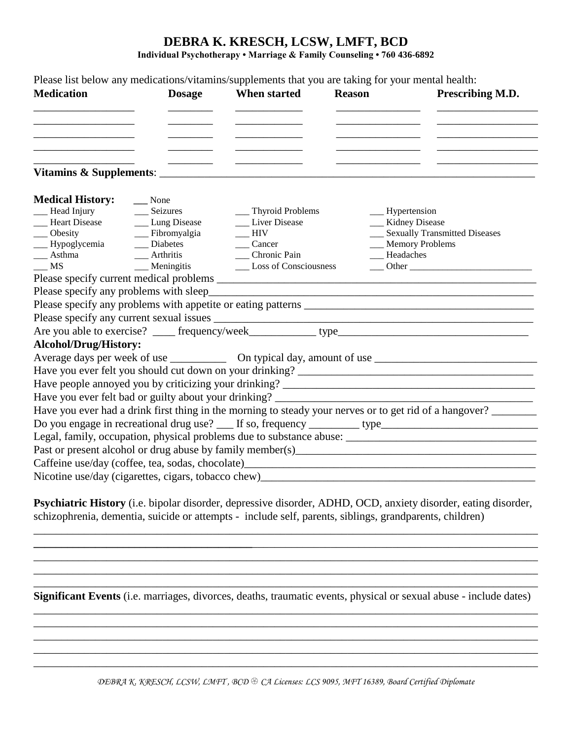# **DEBRA K. KRESCH, LCSW, LMFT, BCD**

**Individual Psychotherapy • Marriage & Family Counseling • 760 436-6892**

|                                                     |                      | Please list below any medications/vitamins/supplements that you are taking for your mental health: |                                                           |                                                                                                                |
|-----------------------------------------------------|----------------------|----------------------------------------------------------------------------------------------------|-----------------------------------------------------------|----------------------------------------------------------------------------------------------------------------|
| <b>Medication</b>                                   | <b>Dosage</b>        | When started                                                                                       | <b>Reason</b>                                             | Prescribing M.D.                                                                                               |
|                                                     |                      |                                                                                                    |                                                           |                                                                                                                |
|                                                     |                      |                                                                                                    |                                                           |                                                                                                                |
|                                                     |                      |                                                                                                    |                                                           |                                                                                                                |
| <b>Medical History:</b>                             | $\frac{1}{2}$ None   |                                                                                                    |                                                           |                                                                                                                |
| Head Injury                                         | Seizures             | __ Thyroid Problems                                                                                | __ Hypertension                                           |                                                                                                                |
| __ Heart Disease                                    | __ Lung Disease      | Liver Disease                                                                                      | __ Kidney Disease                                         |                                                                                                                |
| $\_\_$ Obesity                                      | __ Fibromyalgia      | <b>HIV</b>                                                                                         |                                                           | __ Sexually Transmitted Diseases                                                                               |
| -Hypoglycemia                                       | Diabetes             | Cancer                                                                                             |                                                           | <b>Memory Problems</b>                                                                                         |
| $\frac{1}{2}$ Asthma                                | __ Arthritis         | Chronic Pain                                                                                       | Headaches                                                 |                                                                                                                |
| MS                                                  | $\_\_\_\$ Meningitis | __ Loss of Consciousness                                                                           |                                                           | Other                                                                                                          |
|                                                     |                      |                                                                                                    |                                                           |                                                                                                                |
|                                                     |                      |                                                                                                    |                                                           |                                                                                                                |
|                                                     |                      |                                                                                                    |                                                           |                                                                                                                |
|                                                     |                      |                                                                                                    |                                                           |                                                                                                                |
|                                                     |                      |                                                                                                    |                                                           |                                                                                                                |
| <b>Alcohol/Drug/History:</b>                        |                      |                                                                                                    |                                                           |                                                                                                                |
|                                                     |                      |                                                                                                    |                                                           |                                                                                                                |
|                                                     |                      |                                                                                                    |                                                           |                                                                                                                |
|                                                     |                      |                                                                                                    |                                                           |                                                                                                                |
|                                                     |                      | Have you ever felt bad or guilty about your drinking? ___________________________                  |                                                           |                                                                                                                |
|                                                     |                      |                                                                                                    |                                                           | Have you ever had a drink first thing in the morning to steady your nerves or to get rid of a hangover?        |
|                                                     |                      |                                                                                                    |                                                           | Do you engage in recreational drug use? ___ If so, frequency ________ type ___________________________________ |
|                                                     |                      |                                                                                                    |                                                           |                                                                                                                |
|                                                     |                      |                                                                                                    |                                                           |                                                                                                                |
|                                                     |                      |                                                                                                    |                                                           |                                                                                                                |
| Nicotine use/day (cigarettes, cigars, tobacco chew) |                      |                                                                                                    | <u> 1989 - John Stone, Amerikaansk politiker (* 1918)</u> |                                                                                                                |
|                                                     |                      |                                                                                                    |                                                           |                                                                                                                |

**Psychiatric History** (i.e. bipolar disorder, depressive disorder, ADHD, OCD, anxiety disorder, eating disorder, schizophrenia, dementia, suicide or attempts - include self, parents, siblings, grandparents, children)

**\_\_\_\_\_\_\_\_\_\_\_\_\_\_\_\_\_\_\_\_\_\_\_\_\_\_\_\_\_\_\_\_\_\_\_\_\_\_\_**\_\_\_\_\_\_\_\_\_\_\_\_\_\_\_\_\_\_\_\_\_\_\_\_\_\_\_\_\_\_\_\_\_\_\_\_\_\_\_\_\_\_\_\_\_\_\_\_\_\_\_  $\mathcal{L}_\mathcal{L} = \{ \mathcal{L}_\mathcal{L} = \{ \mathcal{L}_\mathcal{L} = \{ \mathcal{L}_\mathcal{L} = \{ \mathcal{L}_\mathcal{L} = \{ \mathcal{L}_\mathcal{L} = \{ \mathcal{L}_\mathcal{L} = \{ \mathcal{L}_\mathcal{L} = \{ \mathcal{L}_\mathcal{L} = \{ \mathcal{L}_\mathcal{L} = \{ \mathcal{L}_\mathcal{L} = \{ \mathcal{L}_\mathcal{L} = \{ \mathcal{L}_\mathcal{L} = \{ \mathcal{L}_\mathcal{L} = \{ \mathcal{L}_\mathcal{$ \_\_\_\_\_\_\_\_\_\_\_\_\_\_\_\_\_\_\_\_\_\_\_\_\_\_\_\_\_\_\_\_\_\_\_\_\_\_\_\_\_\_\_\_\_\_\_\_\_\_\_\_\_\_\_\_\_\_\_\_\_\_\_\_\_\_\_\_\_\_\_\_\_\_\_\_\_\_\_\_\_\_\_\_\_\_\_\_\_\_

\_\_\_\_\_\_\_\_\_\_\_\_\_\_\_\_\_\_\_\_\_\_\_\_\_\_\_\_\_\_\_\_\_\_\_\_\_\_\_\_\_\_\_\_\_\_\_\_\_\_\_\_\_\_\_\_\_\_\_\_\_\_\_\_\_\_\_\_\_\_\_\_\_\_\_\_\_\_\_\_\_\_\_\_\_\_\_\_\_\_ **Significant Events** (i.e. marriages, divorces, deaths, traumatic events, physical or sexual abuse - include dates)

\_\_\_\_\_\_\_\_\_\_\_\_\_\_\_\_\_\_\_\_\_\_\_\_\_\_\_\_\_\_\_\_\_\_\_\_\_\_\_\_\_\_\_\_\_\_\_\_\_\_\_\_\_\_\_\_\_\_\_\_\_\_\_\_\_\_\_\_\_\_\_\_\_\_\_\_\_\_\_\_\_\_\_\_\_\_\_\_\_\_

\_\_\_\_\_\_\_\_\_\_\_\_\_\_\_\_\_\_\_\_\_\_\_\_\_\_\_\_\_\_\_\_\_\_\_\_\_\_\_\_\_\_\_\_\_\_\_\_\_\_\_\_\_\_\_\_\_\_\_\_\_\_\_\_\_\_\_\_\_\_\_\_\_\_\_\_\_\_\_\_\_\_\_\_\_\_\_\_\_\_ \_\_\_\_\_\_\_\_\_\_\_\_\_\_\_\_\_\_\_\_\_\_\_\_\_\_\_\_\_\_\_\_\_\_\_\_\_\_\_\_\_\_\_\_\_\_\_\_\_\_\_\_\_\_\_\_\_\_\_\_\_\_\_\_\_\_\_\_\_\_\_\_\_\_\_\_\_\_\_\_\_\_\_\_\_\_\_\_\_\_

*DEBRA K. KRESCH, LCSW, LMFT , BCD CA Licenses: LCS 9095, MFT 16389, Board Certified Diplomate*